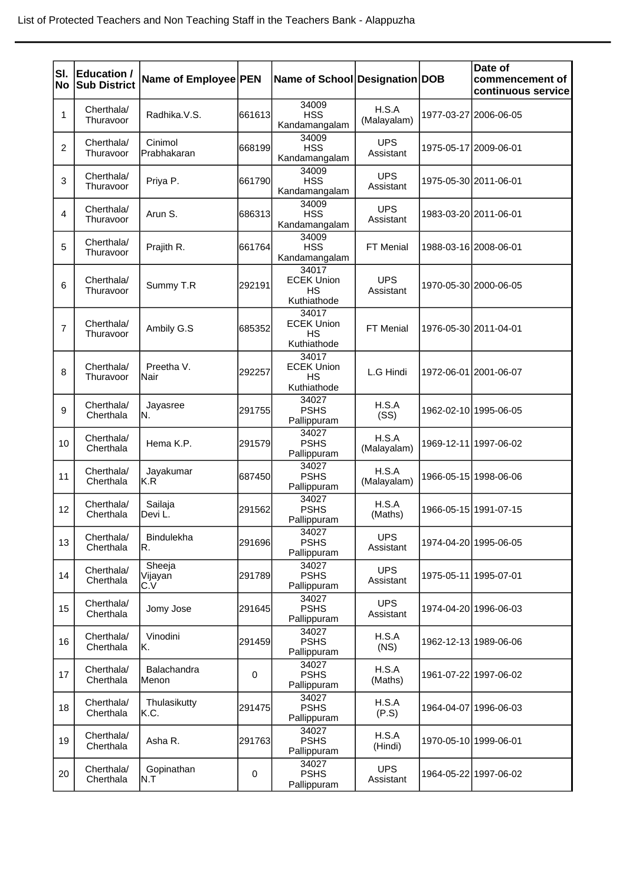| SI.<br>No      | <b>Education /</b><br><b>Sub District</b> | Name of Employee PEN     |        | Name of School Designation DOB                         |                         |                       | Date of<br>commencement of<br>continuous service |
|----------------|-------------------------------------------|--------------------------|--------|--------------------------------------------------------|-------------------------|-----------------------|--------------------------------------------------|
| 1              | Cherthala/<br>Thuravoor                   | Radhika.V.S.             | 661613 | 34009<br><b>HSS</b><br>Kandamangalam                   | H.S.A<br>(Malayalam)    |                       | 1977-03-27 2006-06-05                            |
| $\overline{c}$ | Cherthala/<br>Thuravoor                   | Cinimol<br>Prabhakaran   | 668199 | 34009<br><b>HSS</b><br>Kandamangalam                   | <b>UPS</b><br>Assistant | 1975-05-17 2009-06-01 |                                                  |
| 3              | Cherthala/<br>Thuravoor                   | Priya P.                 | 661790 | 34009<br><b>HSS</b><br>Kandamangalam                   | <b>UPS</b><br>Assistant | 1975-05-30 2011-06-01 |                                                  |
| 4              | Cherthala/<br>Thuravoor                   | Arun S.                  | 686313 | 34009<br><b>HSS</b><br>Kandamangalam                   | <b>UPS</b><br>Assistant |                       | 1983-03-20 2011-06-01                            |
| 5              | Cherthala/<br>Thuravoor                   | Prajith R.               | 661764 | 34009<br><b>HSS</b><br>Kandamangalam                   | FT Menial               | 1988-03-16 2008-06-01 |                                                  |
| 6              | Cherthala/<br>Thuravoor                   | Summy T.R                | 292191 | 34017<br><b>ECEK Union</b><br><b>HS</b><br>Kuthiathode | <b>UPS</b><br>Assistant |                       | 1970-05-30 2000-06-05                            |
| $\overline{7}$ | Cherthala/<br>Thuravoor                   | Ambily G.S               | 685352 | 34017<br><b>ECEK Union</b><br><b>HS</b><br>Kuthiathode | FT Menial               | 1976-05-30 2011-04-01 |                                                  |
| 8              | Cherthala/<br>Thuravoor                   | Preetha V.<br>Nair       | 292257 | 34017<br><b>ECEK Union</b><br><b>HS</b><br>Kuthiathode | L.G Hindi               |                       | 1972-06-01 2001-06-07                            |
| 9              | Cherthala/<br>Cherthala                   | Jayasree<br>N.           | 291755 | 34027<br><b>PSHS</b><br>Pallippuram                    | H.S.A<br>(SS)           |                       | 1962-02-10 1995-06-05                            |
| 10             | Cherthala/<br>Cherthala                   | Hema K.P.                | 291579 | 34027<br><b>PSHS</b><br>Pallippuram                    | H.S.A<br>(Malayalam)    |                       | 1969-12-11 1997-06-02                            |
| 11             | Cherthala/<br>Cherthala                   | Jayakumar<br>K.R         | 687450 | 34027<br><b>PSHS</b><br>Pallippuram                    | H.S.A<br>(Malayalam)    |                       | 1966-05-15 1998-06-06                            |
| 12             | Cherthala/<br>Cherthala                   | Sailaja<br>Devi L.       | 291562 | 34027<br><b>PSHS</b><br>Pallippuram                    | H.S.A<br>(Maths)        |                       | 1966-05-15 1991-07-15                            |
| 13             | Cherthala/<br>Cherthala                   | <b>Bindulekha</b><br>R.  | 291696 | 34027<br><b>PSHS</b><br>Pallippuram                    | <b>UPS</b><br>Assistant |                       | 1974-04-20 1995-06-05                            |
| 14             | Cherthala/<br>Cherthala                   | Sheeja<br>Vijayan<br>C.V | 291789 | 34027<br><b>PSHS</b><br>Pallippuram                    | <b>UPS</b><br>Assistant |                       | 1975-05-11 1995-07-01                            |
| 15             | Cherthala/<br>Cherthala                   | Jomy Jose                | 291645 | 34027<br><b>PSHS</b><br>Pallippuram                    | <b>UPS</b><br>Assistant |                       | 1974-04-20 1996-06-03                            |
| 16             | Cherthala/<br>Cherthala                   | Vinodini<br>Κ.           | 291459 | 34027<br><b>PSHS</b><br>Pallippuram                    | H.S.A<br>(NS)           |                       | 1962-12-13 1989-06-06                            |
| 17             | Cherthala/<br>Cherthala                   | Balachandra<br>Menon     | 0      | 34027<br><b>PSHS</b><br>Pallippuram                    | H.S.A<br>(Maths)        |                       | 1961-07-22 1997-06-02                            |
| 18             | Cherthala/<br>Cherthala                   | Thulasikutty<br>K.C.     | 291475 | 34027<br><b>PSHS</b><br>Pallippuram                    | H.S.A<br>(P.S)          |                       | 1964-04-07 1996-06-03                            |
| 19             | Cherthala/<br>Cherthala                   | Asha R.                  | 291763 | 34027<br><b>PSHS</b><br>Pallippuram                    | H.S.A<br>(Hindi)        |                       | 1970-05-10 1999-06-01                            |
| 20             | Cherthala/<br>Cherthala                   | Gopinathan<br>N.T        | 0      | 34027<br><b>PSHS</b><br>Pallippuram                    | <b>UPS</b><br>Assistant |                       | 1964-05-22 1997-06-02                            |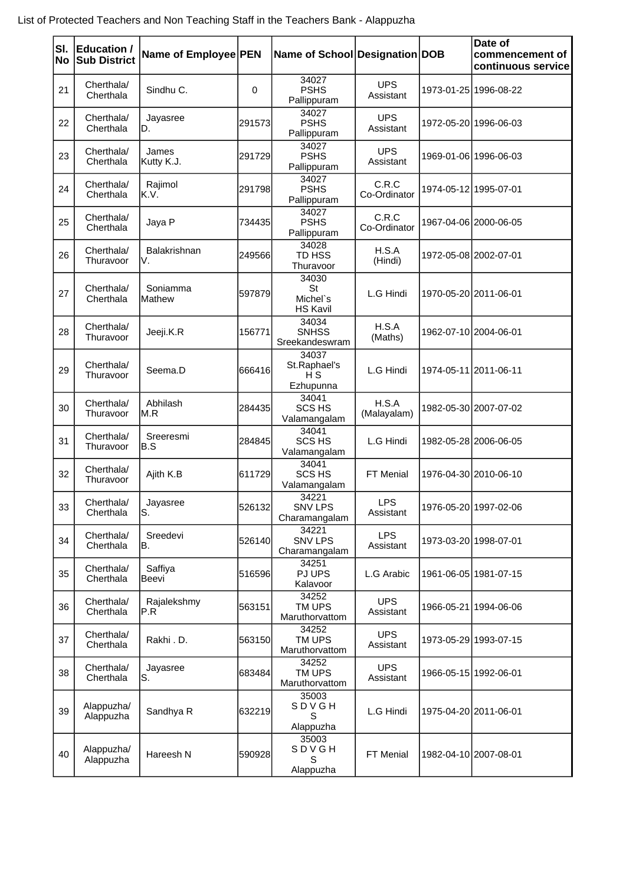| SI.<br>No | Education /<br><b>Sub District</b> | Name of Employee PEN |             | Name of School Designation DOB             |                         |                       | Date of<br>commencement of<br>continuous service |
|-----------|------------------------------------|----------------------|-------------|--------------------------------------------|-------------------------|-----------------------|--------------------------------------------------|
| 21        | Cherthala/<br>Cherthala            | Sindhu C.            | $\mathbf 0$ | 34027<br><b>PSHS</b><br>Pallippuram        | <b>UPS</b><br>Assistant |                       | 1973-01-25 1996-08-22                            |
| 22        | Cherthala/<br>Cherthala            | Jayasree<br>D.       | 291573      | 34027<br><b>PSHS</b><br>Pallippuram        | <b>UPS</b><br>Assistant |                       | 1972-05-20 1996-06-03                            |
| 23        | Cherthala/<br>Cherthala            | James<br>Kutty K.J.  | 291729      | 34027<br><b>PSHS</b><br>Pallippuram        | <b>UPS</b><br>Assistant |                       | 1969-01-06 1996-06-03                            |
| 24        | Cherthala/<br>Cherthala            | Rajimol<br>K.V.      | 291798      | 34027<br><b>PSHS</b><br>Pallippuram        | C.R.C<br>Co-Ordinator   |                       | 1974-05-12 1995-07-01                            |
| 25        | Cherthala/<br>Cherthala            | Jaya P               | 734435      | 34027<br><b>PSHS</b><br>Pallippuram        | C.R.C<br>Co-Ordinator   |                       | 1967-04-06 2000-06-05                            |
| 26        | Cherthala/<br>Thuravoor            | Balakrishnan<br>V.   | 249566      | 34028<br>TD HSS<br>Thuravoor               | H.S.A<br>(Hindi)        |                       | 1972-05-08 2002-07-01                            |
| 27        | Cherthala/<br>Cherthala            | Soniamma<br>Mathew   | 597879      | 34030<br>St<br>Michel's<br><b>HS Kavil</b> | L.G Hindi               | 1970-05-20 2011-06-01 |                                                  |
| 28        | Cherthala/<br>Thuravoor            | Jeeji.K.R            | 156771      | 34034<br><b>SNHSS</b><br>Sreekandeswram    | H.S.A<br>(Maths)        |                       | 1962-07-10 2004-06-01                            |
| 29        | Cherthala/<br>Thuravoor            | Seema.D              | 666416      | 34037<br>St.Raphael's<br>H S<br>Ezhupunna  | L.G Hindi               |                       | 1974-05-11 2011-06-11                            |
| 30        | Cherthala/<br>Thuravoor            | Abhilash<br>M.R      | 284435      | 34041<br><b>SCS HS</b><br>Valamangalam     | H.S.A<br>(Malayalam)    |                       | 1982-05-30 2007-07-02                            |
| 31        | Cherthala/<br>Thuravoor            | Sreeresmi<br>B.S     | 284845      | 34041<br><b>SCS HS</b><br>Valamangalam     | L.G Hindi               |                       | 1982-05-28 2006-06-05                            |
| 32        | Cherthala/<br>Thuravoor            | Ajith K.B            | 611729      | 34041<br><b>SCS HS</b><br>Valamangalam     | FT Menial               |                       | 1976-04-30 2010-06-10                            |
| 33        | Cherthala/<br>Cherthala            | Jayasree<br>S.       | 526132      | 34221<br><b>SNV LPS</b><br>Charamangalam   | <b>LPS</b><br>Assistant |                       | 1976-05-20 1997-02-06                            |
| 34        | Cherthala/<br>Cherthala            | Sreedevi<br>B.       | 526140      | 34221<br><b>SNV LPS</b><br>Charamangalam   | <b>LPS</b><br>Assistant |                       | 1973-03-20 1998-07-01                            |
| 35        | Cherthala/<br>Cherthala            | Saffiya<br>Beevi     | 516596      | 34251<br>PJ UPS<br>Kalavoor                | L.G Arabic              |                       | 1961-06-05 1981-07-15                            |
| 36        | Cherthala/<br>Cherthala            | Rajalekshmy<br>P.R   | 563151      | 34252<br>TM UPS<br>Maruthorvattom          | <b>UPS</b><br>Assistant |                       | 1966-05-21   1994-06-06                          |
| 37        | Cherthala/<br>Cherthala            | Rakhi.D.             | 563150      | 34252<br>TM UPS<br>Maruthorvattom          | <b>UPS</b><br>Assistant |                       | 1973-05-29 1993-07-15                            |
| 38        | Cherthala/<br>Cherthala            | Jayasree<br>S.       | 683484      | 34252<br>TM UPS<br>Maruthorvattom          | <b>UPS</b><br>Assistant |                       | 1966-05-15 1992-06-01                            |
| 39        | Alappuzha/<br>Alappuzha            | Sandhya R            | 632219      | 35003<br>SDVGH<br>S<br>Alappuzha           | L.G Hindi               |                       | 1975-04-20 2011-06-01                            |
| 40        | Alappuzha/<br>Alappuzha            | Hareesh N            | 590928      | 35003<br>SDVGH<br>S<br>Alappuzha           | FT Menial               |                       | 1982-04-10 2007-08-01                            |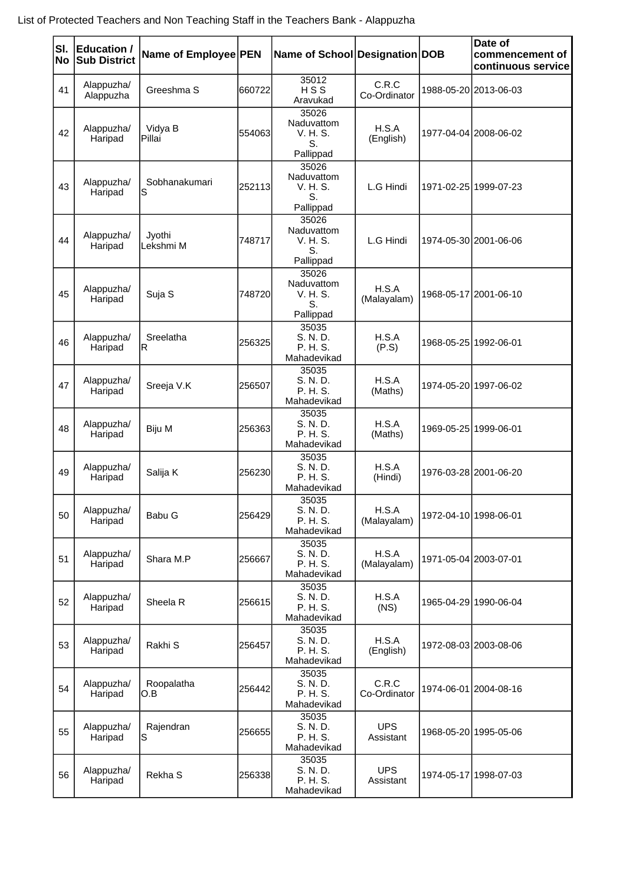| SI.<br>No | Education /<br><b>Sub District</b> | Name of Employee PEN |         | Name of School Designation DOB                     |                         | Date of<br>commencement of<br>continuous service |
|-----------|------------------------------------|----------------------|---------|----------------------------------------------------|-------------------------|--------------------------------------------------|
| 41        | Alappuzha/<br>Alappuzha            | Greeshma S           | 660722  | 35012<br>HSS<br>Aravukad                           | C.R.C<br>Co-Ordinator   | 1988-05-20 2013-06-03                            |
| 42        | Alappuzha/<br>Haripad              | Vidya B<br>Pillai    | 554063  | 35026<br>Naduvattom<br>V. H. S.<br>S.<br>Pallippad | H.S.A<br>(English)      | 1977-04-04 2008-06-02                            |
| 43        | Alappuzha/<br>Haripad              | Sobhanakumari<br>S   | 252113  | 35026<br>Naduvattom<br>V. H. S.<br>S.<br>Pallippad | L.G Hindi               | 1971-02-25 1999-07-23                            |
| 44        | Alappuzha/<br>Haripad              | Jyothi<br>Lekshmi M  | 748717  | 35026<br>Naduvattom<br>V. H. S.<br>S.<br>Pallippad | L.G Hindi               | 1974-05-30 2001-06-06                            |
| 45        | Alappuzha/<br>Haripad              | Suja S               | 7487201 | 35026<br>Naduvattom<br>V. H. S.<br>S.<br>Pallippad | H.S.A<br>(Malayalam)    | 1968-05-17 2001-06-10                            |
| 46        | Alappuzha/<br>Haripad              | Sreelatha<br>R       | 256325  | 35035<br>S. N. D.<br>P. H. S.<br>Mahadevikad       | H.S.A<br>(P.S)          | 1968-05-25 1992-06-01                            |
| 47        | Alappuzha/<br>Haripad              | Sreeja V.K           | 256507  | 35035<br>S. N. D.<br>P. H. S.<br>Mahadevikad       | H.S.A<br>(Maths)        | 1974-05-20 1997-06-02                            |
| 48        | Alappuzha/<br>Haripad              | Biju M               | 256363  | 35035<br>S. N. D.<br>P. H. S.<br>Mahadevikad       | H.S.A<br>(Maths)        | 1969-05-25 1999-06-01                            |
| 49        | Alappuzha/<br>Haripad              | Salija K             | 256230  | 35035<br>S. N. D.<br>P. H. S.<br>Mahadevikad       | H.S.A<br>(Hindi)        | 1976-03-28 2001-06-20                            |
| 50        | Alappuzha/<br>Haripad              | Babu G               | 256429  | 35035<br>S. N. D.<br>P. H. S.<br>Mahadevikad       | H.S.A<br>(Malayalam)    | 1972-04-10 1998-06-01                            |
| 51        | Alappuzha/<br>Haripad              | Shara M.P            | 256667  | 35035<br>S. N. D.<br>P. H. S.<br>Mahadevikad       | H.S.A<br>(Malayalam)    | 1971-05-04 2003-07-01                            |
| 52        | Alappuzha/<br>Haripad              | Sheela R             | 256615  | 35035<br>S. N. D.<br>P. H. S.<br>Mahadevikad       | H.S.A<br>(NS)           | 1965-04-29 1990-06-04                            |
| 53        | Alappuzha/<br>Haripad              | Rakhi S              | 256457  | 35035<br>S. N. D.<br>P. H. S.<br>Mahadevikad       | H.S.A<br>(English)      | 1972-08-03 2003-08-06                            |
| 54        | Alappuzha/<br>Haripad              | Roopalatha<br>O.B    | 256442  | 35035<br>S. N. D.<br>P. H. S.<br>Mahadevikad       | C.R.C<br>Co-Ordinator   | 1974-06-01 2004-08-16                            |
| 55        | Alappuzha/<br>Haripad              | Rajendran<br>ls      | 256655  | 35035<br>S. N. D.<br>P. H. S.<br>Mahadevikad       | <b>UPS</b><br>Assistant | 1968-05-20 1995-05-06                            |
| 56        | Alappuzha/<br>Haripad              | Rekha S              | 256338  | 35035<br>S. N. D.<br>P. H. S.<br>Mahadevikad       | <b>UPS</b><br>Assistant | 1974-05-17 1998-07-03                            |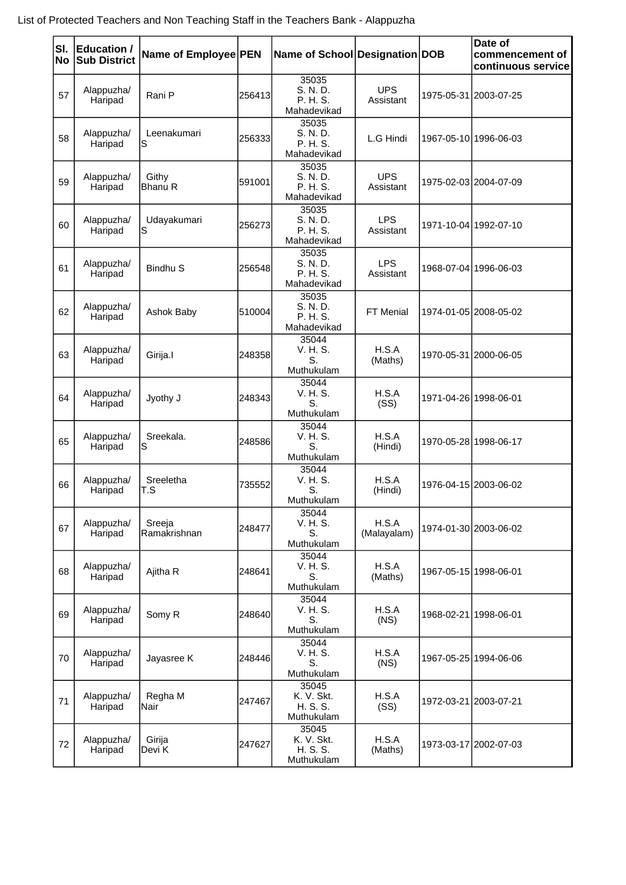| SI.<br><b>No</b> | <b>Education /</b><br><b>Sub District</b> | Name of Employee PEN   |        | Name of School Designation DOB                |                         |                       | Date of<br>commencement of<br>continuous service |
|------------------|-------------------------------------------|------------------------|--------|-----------------------------------------------|-------------------------|-----------------------|--------------------------------------------------|
| 57               | Alappuzha/<br>Haripad                     | Rani P                 | 256413 | 35035<br>S. N. D.<br>P. H. S.<br>Mahadevikad  | <b>UPS</b><br>Assistant |                       | 1975-05-31 2003-07-25                            |
| 58               | Alappuzha/<br>Haripad                     | Leenakumari<br>S       | 256333 | 35035<br>S. N. D.<br>P. H. S.<br>Mahadevikad  | L.G Hindi               |                       | 1967-05-10 1996-06-03                            |
| 59               | Alappuzha/<br>Haripad                     | Githy<br>Bhanu R       | 591001 | 35035<br>S. N. D.<br>P. H. S.<br>Mahadevikad  | <b>UPS</b><br>Assistant |                       | 1975-02-03 2004-07-09                            |
| 60               | Alappuzha/<br>Haripad                     | Udayakumari<br>S       | 256273 | 35035<br>S. N. D.<br>P. H. S.<br>Mahadevikad  | <b>LPS</b><br>Assistant |                       | 1971-10-04 1992-07-10                            |
| 61               | Alappuzha/<br>Haripad                     | <b>Bindhu S</b>        | 256548 | 35035<br>S. N. D.<br>P. H. S.<br>Mahadevikad  | <b>LPS</b><br>Assistant |                       | 1968-07-04 1996-06-03                            |
| 62               | Alappuzha/<br>Haripad                     | Ashok Baby             | 510004 | 35035<br>S. N. D.<br>P. H. S.<br>Mahadevikad  | FT Menial               |                       | 1974-01-05 2008-05-02                            |
| 63               | Alappuzha/<br>Haripad                     | Girija.I               | 248358 | 35044<br>V. H. S.<br>S.<br>Muthukulam         | H.S.A<br>(Maths)        |                       | 1970-05-31 2000-06-05                            |
| 64               | Alappuzha/<br>Haripad                     | Jyothy J               | 248343 | 35044<br>V. H. S.<br>S.<br>Muthukulam         | H.S.A<br>(SS)           | 1971-04-26 1998-06-01 |                                                  |
| 65               | Alappuzha/<br>Haripad                     | Sreekala.<br>S         | 248586 | 35044<br>V. H. S.<br>S.<br>Muthukulam         | H.S.A<br>(Hindi)        |                       | 1970-05-28 1998-06-17                            |
| 66               | Alappuzha/<br>Haripad                     | Sreeletha<br>T.S       | 735552 | 35044<br>V. H. S.<br>S.<br>Muthukulam         | H.S.A<br>(Hindi)        |                       | 1976-04-15 2003-06-02                            |
| 67               | Alappuzha/<br>Haripad                     | Sreeja<br>Ramakrishnan | 248477 | 35044<br>V. H. S.<br>S.<br>Muthukulam         | H.S.A<br>(Malayalam)    |                       | 1974-01-30 2003-06-02                            |
| 68               | Alappuzha/<br>Haripad                     | Ajitha R               | 248641 | 35044<br>V. H. S.<br>S.<br>Muthukulam         | H.S.A<br>(Maths)        |                       | 1967-05-15 1998-06-01                            |
| 69               | Alappuzha/<br>Haripad                     | Somy R                 | 248640 | 35044<br>V. H. S.<br>S.<br>Muthukulam         | H.S.A<br>(NS)           |                       | 1968-02-21 1998-06-01                            |
| 70               | Alappuzha/<br>Haripad                     | Jayasree K             | 248446 | 35044<br>V. H. S.<br>S.<br>Muthukulam         | H.S.A<br>(NS)           |                       | 1967-05-25 1994-06-06                            |
| 71               | Alappuzha/<br>Haripad                     | Regha M<br>Nair        | 247467 | 35045<br>K. V. Skt.<br>H. S. S.<br>Muthukulam | H.S.A<br>(SS)           |                       | 1972-03-21 2003-07-21                            |
| 72               | Alappuzha/<br>Haripad                     | Girija<br>Devi K       | 247627 | 35045<br>K. V. Skt.<br>H. S. S.<br>Muthukulam | H.S.A<br>(Maths)        |                       | 1973-03-17 2002-07-03                            |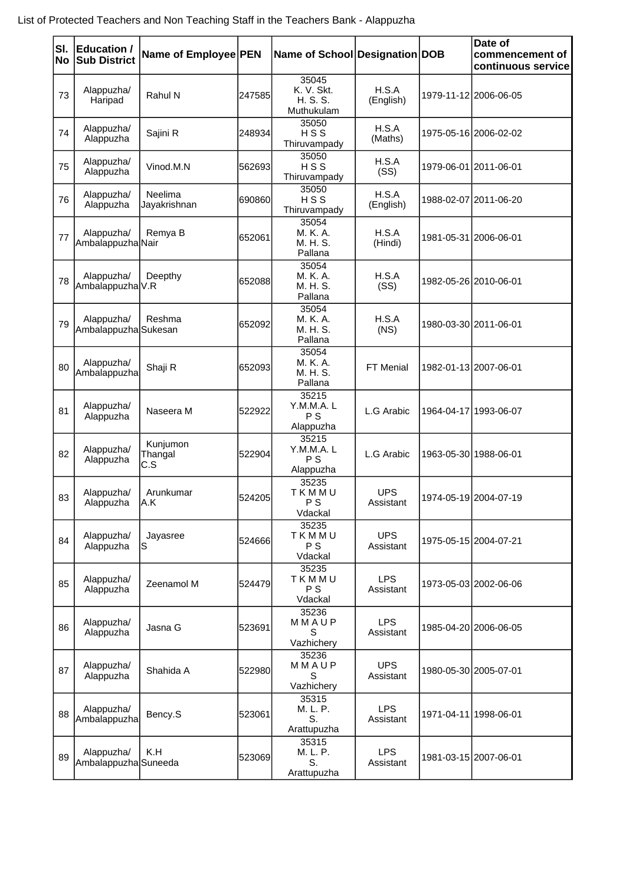| SI.<br>No | Education /<br><b>Sub District</b> | Name of Employee PEN       |        | Name of School Designation DOB                |                         |                       | Date of<br>commencement of<br>continuous service |
|-----------|------------------------------------|----------------------------|--------|-----------------------------------------------|-------------------------|-----------------------|--------------------------------------------------|
| 73        | Alappuzha/<br>Haripad              | Rahul N                    | 247585 | 35045<br>K. V. Skt.<br>H. S. S.<br>Muthukulam | H.S.A<br>(English)      |                       | 1979-11-12 2006-06-05                            |
| 74        | Alappuzha/<br>Alappuzha            | Sajini R                   | 248934 | 35050<br>HSS<br>Thiruvampady                  | H.S.A<br>(Maths)        |                       | 1975-05-16 2006-02-02                            |
| 75        | Alappuzha/<br>Alappuzha            | Vinod.M.N                  | 562693 | 35050<br>HSS<br>Thiruvampady                  | H.S.A<br>(SS)           | 1979-06-01 2011-06-01 |                                                  |
| 76        | Alappuzha/<br>Alappuzha            | Neelima<br>Jayakrishnan    | 690860 | 35050<br>HSS<br>Thiruvampady                  | H.S.A<br>(English)      |                       | 1988-02-07 2011-06-20                            |
| 77        | Alappuzha/<br>Ambalappuzha Nair    | Remya B                    | 652061 | 35054<br>M. K. A.<br>M. H. S.<br>Pallana      | H.S.A<br>(Hindi)        |                       | 1981-05-31 2006-06-01                            |
| 78        | Alappuzha/<br>Ambalappuzha V.R     | Deepthy                    | 652088 | 35054<br>M. K. A.<br>M. H. S.<br>Pallana      | H.S.A<br>(SS)           |                       | 1982-05-26 2010-06-01                            |
| 79        | Alappuzha/<br>Ambalappuzha Sukesan | Reshma                     | 652092 | 35054<br>M. K. A.<br>M. H. S.<br>Pallana      | H.S.A<br>(NS)           |                       | 1980-03-30 2011-06-01                            |
| 80        | Alappuzha/<br>Ambalappuzha         | Shaji R                    | 652093 | 35054<br>M. K. A.<br>M. H. S.<br>Pallana      | FT Menial               |                       | 1982-01-13 2007-06-01                            |
| 81        | Alappuzha/<br>Alappuzha            | Naseera M                  | 522922 | 35215<br>Y.M.M.A. L<br>P S<br>Alappuzha       | L.G Arabic              |                       | 1964-04-17 1993-06-07                            |
| 82        | Alappuzha/<br>Alappuzha            | Kunjumon<br>Thangal<br>C.S | 522904 | 35215<br>Y.M.M.A.L<br>P S<br>Alappuzha        | L.G Arabic              |                       | 1963-05-30 1988-06-01                            |
| 83        | Alappuzha/<br>Alappuzha            | Arunkumar<br>A.K           | 524205 | 35235<br>TKMMU<br>P S<br>Vdackal              | <b>UPS</b><br>Assistant |                       | 1974-05-19 2004-07-19                            |
| 84        | Alappuzha/<br>Alappuzha            | Jayasree<br>ls             | 524666 | 35235<br>TKMMU<br>P S<br>Vdackal              | <b>UPS</b><br>Assistant |                       | 1975-05-15 2004-07-21                            |
| 85        | Alappuzha/<br>Alappuzha            | Zeenamol M                 | 524479 | 35235<br>TKMMU<br>P S<br>Vdackal              | <b>LPS</b><br>Assistant |                       | 1973-05-03 2002-06-06                            |
| 86        | Alappuzha/<br>Alappuzha            | Jasna G                    | 523691 | 35236<br>MMAUP<br>S<br>Vazhichery             | <b>LPS</b><br>Assistant |                       | 1985-04-20 2006-06-05                            |
| 87        | Alappuzha/<br>Alappuzha            | Shahida A                  | 522980 | 35236<br>MMAUP<br>S<br>Vazhichery             | <b>UPS</b><br>Assistant |                       | 1980-05-30 2005-07-01                            |
| 88        | Alappuzha/<br>Ambalappuzha         | Bency.S                    | 523061 | 35315<br>M. L. P.<br>S.<br>Arattupuzha        | <b>LPS</b><br>Assistant |                       | 1971-04-11 1998-06-01                            |
| 89        | Alappuzha/<br>Ambalappuzha Suneeda | K.H                        | 523069 | 35315<br>M. L. P.<br>S.<br>Arattupuzha        | <b>LPS</b><br>Assistant |                       | 1981-03-15 2007-06-01                            |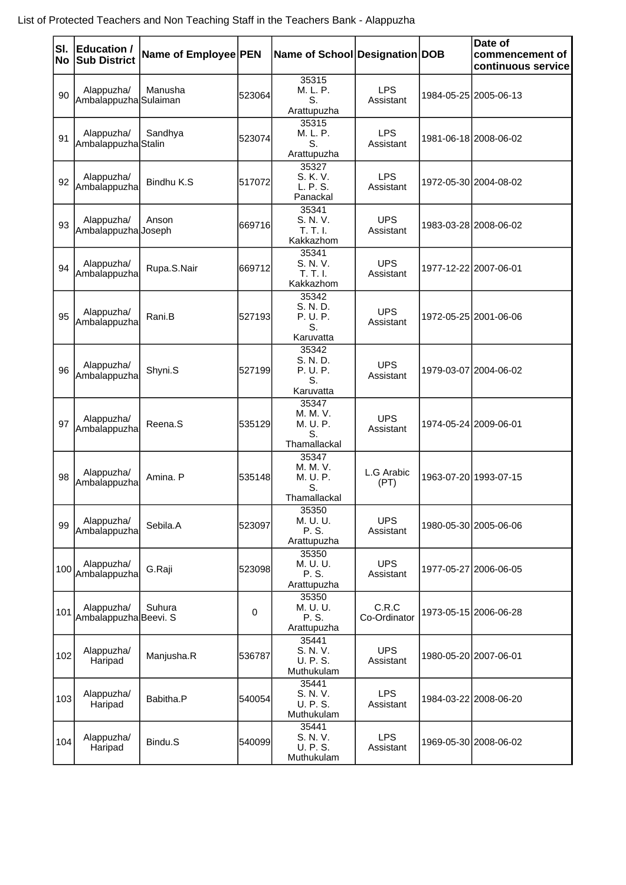| SI.<br>No | <b>Education /</b><br><b>Sub District</b> | Name of Employee PEN |        | Name of School Designation DOB                      |                         | Date of<br>commencement of<br>continuous service |
|-----------|-------------------------------------------|----------------------|--------|-----------------------------------------------------|-------------------------|--------------------------------------------------|
| 90        | Alappuzha/<br>Ambalappuzha Sulaiman       | Manusha              | 523064 | 35315<br>M. L. P.<br>S.<br>Arattupuzha              | <b>LPS</b><br>Assistant | 1984-05-25 2005-06-13                            |
| 91        | Alappuzha/<br>Ambalappuzha Stalin         | Sandhya              | 523074 | 35315<br>M. L. P.<br>S.<br>Arattupuzha              | <b>LPS</b><br>Assistant | 1981-06-18 2008-06-02                            |
| 92        | Alappuzha/<br>Ambalappuzha                | Bindhu K.S           | 517072 | 35327<br>S. K. V.<br>L. P. S.<br>Panackal           | <b>LPS</b><br>Assistant | 1972-05-30 2004-08-02                            |
| 93        | Alappuzha/<br>Ambalappuzha Joseph         | Anson                | 669716 | 35341<br>S. N. V.<br>T. T. I.<br>Kakkazhom          | <b>UPS</b><br>Assistant | 1983-03-28 2008-06-02                            |
| 94        | Alappuzha/<br>Ambalappuzha                | Rupa.S.Nair          | 669712 | 35341<br>S. N. V.<br>T, T, L<br>Kakkazhom           | <b>UPS</b><br>Assistant | 1977-12-22 2007-06-01                            |
| 95        | Alappuzha/<br>Ambalappuzha                | Rani.B               | 527193 | 35342<br>S. N. D.<br>P. U. P.<br>S.<br>Karuvatta    | <b>UPS</b><br>Assistant | 1972-05-25 2001-06-06                            |
| 96        | Alappuzha/<br>Ambalappuzha                | Shyni.S              | 527199 | 35342<br>S. N. D.<br>P. U. P.<br>S.<br>Karuvatta    | <b>UPS</b><br>Assistant | 1979-03-07 2004-06-02                            |
| 97        | Alappuzha/<br>Ambalappuzha                | Reena.S              | 535129 | 35347<br>M. M. V.<br>M. U. P.<br>S.<br>Thamallackal | <b>UPS</b><br>Assistant | 1974-05-24 2009-06-01                            |
| 98        | Alappuzha/<br>Ambalappuzha                | Amina. P             | 535148 | 35347<br>M. M. V.<br>M. U. P.<br>S.<br>Thamallackal | L.G Arabic<br>(PT)      | 1963-07-20 1993-07-15                            |
| 99        | Alappuzha/<br>Ambalappuzha                | Sebila.A             | 523097 | 35350<br>M. U. U.<br>P. S.<br>Arattupuzha           | <b>UPS</b><br>Assistant | 1980-05-30 2005-06-06                            |
| 100       | Alappuzha/<br>Ambalappuzha                | G.Raji               | 523098 | 35350<br>M. U. U.<br>P. S.<br>Arattupuzha           | <b>UPS</b><br>Assistant | 1977-05-27 2006-06-05                            |
| 101       | Alappuzha/<br>Ambalappuzha Beevi. S       | Suhura               | 0      | 35350<br>M. U. U.<br>P. S.<br>Arattupuzha           | C.R.C<br>Co-Ordinator   | 1973-05-15 2006-06-28                            |
| 102       | Alappuzha/<br>Haripad                     | Manjusha.R           | 536787 | 35441<br>S. N. V.<br>U. P. S.<br>Muthukulam         | <b>UPS</b><br>Assistant | 1980-05-20 2007-06-01                            |
| 103       | Alappuzha/<br>Haripad                     | Babitha.P            | 540054 | 35441<br>S. N. V.<br>U. P. S.<br>Muthukulam         | <b>LPS</b><br>Assistant | 1984-03-22 2008-06-20                            |
| 104       | Alappuzha/<br>Haripad                     | Bindu.S              | 540099 | 35441<br>S. N. V.<br>U. P. S.<br>Muthukulam         | <b>LPS</b><br>Assistant | 1969-05-30 2008-06-02                            |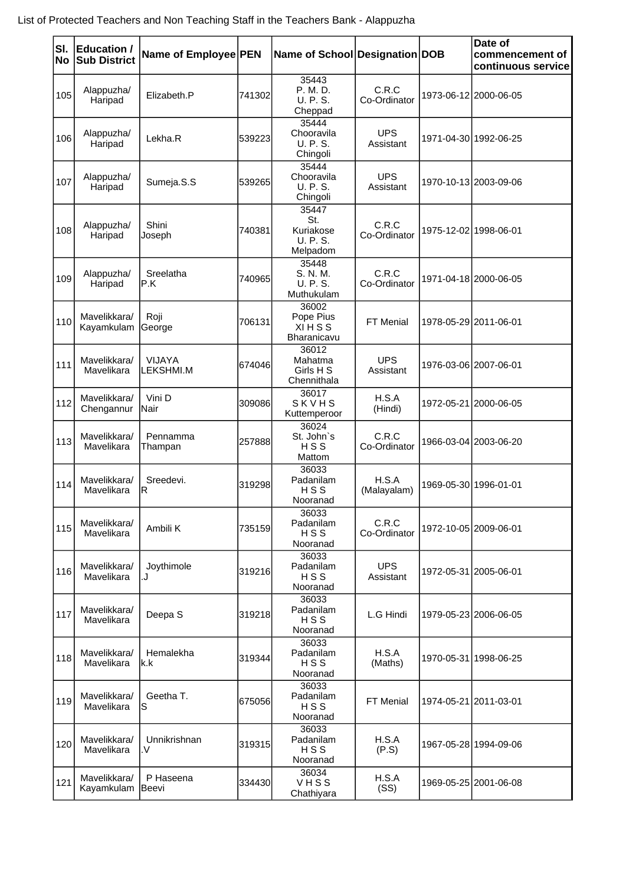| SI.<br>No | Education /<br><b>Sub District</b> | Name of Employee PEN              |         | Name of School Designation DOB                    |                         |                       | Date of<br>commencement of<br>continuous service |
|-----------|------------------------------------|-----------------------------------|---------|---------------------------------------------------|-------------------------|-----------------------|--------------------------------------------------|
| 105       | Alappuzha/<br>Haripad              | Elizabeth.P                       | 741302  | 35443<br>P. M. D.<br>U. P. S.<br>Cheppad          | C.R.C<br>Co-Ordinator   |                       | 1973-06-12 2000-06-05                            |
| 106       | Alappuzha/<br>Haripad              | Lekha.R                           | 539223  | 35444<br>Chooravila<br>U. P. S.<br>Chingoli       | <b>UPS</b><br>Assistant |                       | 1971-04-30 1992-06-25                            |
| 107       | Alappuzha/<br>Haripad              | Sumeja.S.S                        | 539265  | 35444<br>Chooravila<br>U. P. S.<br>Chingoli       | <b>UPS</b><br>Assistant |                       | 1970-10-13 2003-09-06                            |
| 108       | Alappuzha/<br>Haripad              | Shini<br>Joseph                   | 740381  | 35447<br>St.<br>Kuriakose<br>U. P. S.<br>Melpadom | C.R.C<br>Co-Ordinator   | 1975-12-02 1998-06-01 |                                                  |
| 109       | Alappuzha/<br>Haripad              | Sreelatha<br>IP.K                 | 740965  | 35448<br>S. N. M.<br>U. P. S.<br>Muthukulam       | C.R.C<br>Co-Ordinator   |                       | 1971-04-18 2000-06-05                            |
| 110       | Mavelikkara/<br>Kayamkulam         | Roji<br>George                    | 706131  | 36002<br>Pope Pius<br><b>XIHSS</b><br>Bharanicavu | FT Menial               |                       | 1978-05-29 2011-06-01                            |
| 111       | Mavelikkara/<br>Mavelikara         | <b>VIJAYA</b><br><b>LEKSHMI.M</b> | 6740461 | 36012<br>Mahatma<br>Girls H S<br>Chennithala      | <b>UPS</b><br>Assistant |                       | 1976-03-06 2007-06-01                            |
| 112       | Mavelikkara/<br>Chengannur         | Vini D<br>Nair                    | 309086  | 36017<br>SKVHS<br>Kuttemperoor                    | H.S.A<br>(Hindi)        |                       | 1972-05-21 2000-06-05                            |
| 113       | Mavelikkara/<br>Mavelikara         | Pennamma<br>Thampan               | 257888  | 36024<br>St. John's<br>HSS<br>Mattom              | C.R.C<br>Co-Ordinator   |                       | 1966-03-04 2003-06-20                            |
| 114       | Mavelikkara/<br>Mavelikara         | Sreedevi.<br>IR.                  | 319298  | 36033<br>Padanilam<br>HSS<br>Nooranad             | H.S.A<br>(Malayalam)    |                       | 1969-05-30 1996-01-01                            |
| 115       | Mavelikkara/<br>Mavelikara         | Ambili K                          | 735159  | 36033<br>Padanilam<br>HSS<br>Nooranad             | C.R.C<br>Co-Ordinator   |                       | 1972-10-05 2009-06-01                            |
| 116       | Mavelikkara/<br>Mavelikara         | Joythimole<br>L.                  | 319216  | 36033<br>Padanilam<br>HSS<br>Nooranad             | <b>UPS</b><br>Assistant |                       | 1972-05-31 2005-06-01                            |
| 117       | Mavelikkara/<br>Mavelikara         | Deepa <sub>S</sub>                | 319218  | 36033<br>Padanilam<br>HSS<br>Nooranad             | L.G Hindi               |                       | 1979-05-23 2006-06-05                            |
| 118       | Mavelikkara/<br>Mavelikara         | Hemalekha<br>lk.k                 | 319344  | 36033<br>Padanilam<br>HSS<br>Nooranad             | H.S.A<br>(Maths)        |                       | 1970-05-31 1998-06-25                            |
| 119       | Mavelikkara/<br>Mavelikara         | Geetha T.<br>S                    | 675056  | 36033<br>Padanilam<br>HSS<br>Nooranad             | FT Menial               | 1974-05-21 2011-03-01 |                                                  |
| 120       | Mavelikkara/<br>Mavelikara         | Unnikrishnan<br>.V                | 319315  | 36033<br>Padanilam<br>HSS<br>Nooranad             | H.S.A<br>(P.S)          |                       | 1967-05-28 1994-09-06                            |
| 121       | Mavelikkara/<br>Kayamkulam         | P Haseena<br>Beevi                | 334430  | 36034<br>VHSS<br>Chathiyara                       | H.S.A<br>(SS)           |                       | 1969-05-25 2001-06-08                            |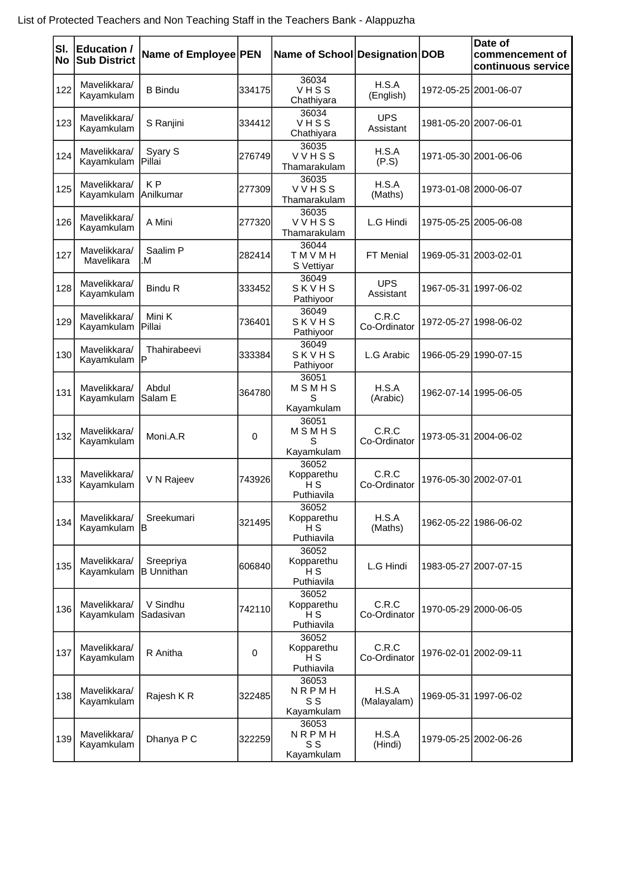| SI.<br>No | Education /<br><b>Sub District</b> | Name of Employee PEN           |        | Name of School Designation DOB                      |                         | Date of<br>commencement of<br>continuous service |
|-----------|------------------------------------|--------------------------------|--------|-----------------------------------------------------|-------------------------|--------------------------------------------------|
| 122       | Mavelikkara/<br>Kayamkulam         | <b>B</b> Bindu                 | 334175 | 36034<br>VHSS<br>Chathiyara                         | H.S.A<br>(English)      | 1972-05-25 2001-06-07                            |
| 123       | Mavelikkara/<br>Kayamkulam         | S Ranjini                      | 334412 | 36034<br>VHSS<br>Chathiyara                         | <b>UPS</b><br>Assistant | 1981-05-20 2007-06-01                            |
| 124       | Mavelikkara/<br>Kayamkulam         | Syary S<br><b>Pillai</b>       | 276749 | 36035<br>VVHSS<br>Thamarakulam                      | H.S.A<br>(P.S)          | 1971-05-30 2001-06-06                            |
| 125       | Mavelikkara/<br>Kayamkulam         | K <sub>P</sub><br>Anilkumar    | 277309 | 36035<br>VVHSS<br>Thamarakulam                      | H.S.A<br>(Maths)        | 1973-01-08 2000-06-07                            |
| 126       | Mavelikkara/<br>Kayamkulam         | A Mini                         | 277320 | 36035<br>VVHSS<br>Thamarakulam                      | L.G Hindi               | 1975-05-25 2005-06-08                            |
| 127       | Mavelikkara/<br>Mavelikara         | Saalim P<br>M.                 | 282414 | 36044<br>TMVMH<br>S Vettiyar                        | FT Menial               | 1969-05-31 2003-02-01                            |
| 128       | Mavelikkara/<br>Kayamkulam         | <b>Bindu R</b>                 | 333452 | 36049<br>SKVHS<br>Pathiyoor                         | <b>UPS</b><br>Assistant | 1967-05-31 1997-06-02                            |
| 129       | Mavelikkara/<br>Kayamkulam         | Mini K<br>Pillai               | 736401 | 36049<br>SKVHS<br>Pathiyoor                         | C.R.C<br>Co-Ordinator   | 1972-05-27 1998-06-02                            |
| 130       | Mavelikkara/<br>Kayamkulam         | Thahirabeevi<br>IP             | 333384 | 36049<br>SKVHS<br>Pathiyoor                         | L.G Arabic              | 1966-05-29 1990-07-15                            |
| 131       | Mavelikkara/<br>Kayamkulam         | Abdul<br>lSalam E              | 364780 | 36051<br>MSMHS<br>S<br>Kayamkulam                   | H.S.A<br>(Arabic)       | 1962-07-14 1995-06-05                            |
| 132       | Mavelikkara/<br>Kayamkulam         | Moni.A.R                       | 0      | 36051<br>MSMHS<br>S<br>Kayamkulam                   | C.R.C<br>Co-Ordinator   | 1973-05-31 2004-06-02                            |
| 133       | Mavelikkara/<br>Kayamkulam         | V N Rajeev                     | 743926 | 36052<br>Kopparethu<br>H <sub>S</sub><br>Puthiavila | C.R.C<br>Co-Ordinator   | 1976-05-30 2002-07-01                            |
| 134       | Mavelikkara/<br>Kayamkulam         | Sreekumari<br>İΒ               | 321495 | 36052<br>Kopparethu<br>нs<br>Puthiavila             | H.S.A<br>(Maths)        | 1962-05-22 1986-06-02                            |
| 135       | Mavelikkara/<br>Kayamkulam         | Sreepriya<br><b>B</b> Unnithan | 606840 | 36052<br>Kopparethu<br>H <sub>S</sub><br>Puthiavila | L.G Hindi               | 1983-05-27 2007-07-15                            |
| 136       | Mavelikkara/<br>Kayamkulam         | V Sindhu<br>lSadasivan         | 742110 | 36052<br>Kopparethu<br>НS<br>Puthiavila             | C.R.C<br>Co-Ordinator   | 1970-05-29 2000-06-05                            |
| 137       | Mavelikkara/<br>Kayamkulam         | R Anitha                       | 0      | 36052<br>Kopparethu<br>H <sub>S</sub><br>Puthiavila | C.R.C<br>Co-Ordinator   | 1976-02-01 2002-09-11                            |
| 138       | Mavelikkara/<br>Kayamkulam         | Rajesh KR                      | 322485 | 36053<br>NRPMH<br>S S<br>Kayamkulam                 | H.S.A<br>(Malayalam)    | 1969-05-31 1997-06-02                            |
| 139       | Mavelikkara/<br>Kayamkulam         | Dhanya P C                     | 322259 | 36053<br>NRPMH<br>S S<br>Kayamkulam                 | H.S.A<br>(Hindi)        | 1979-05-25 2002-06-26                            |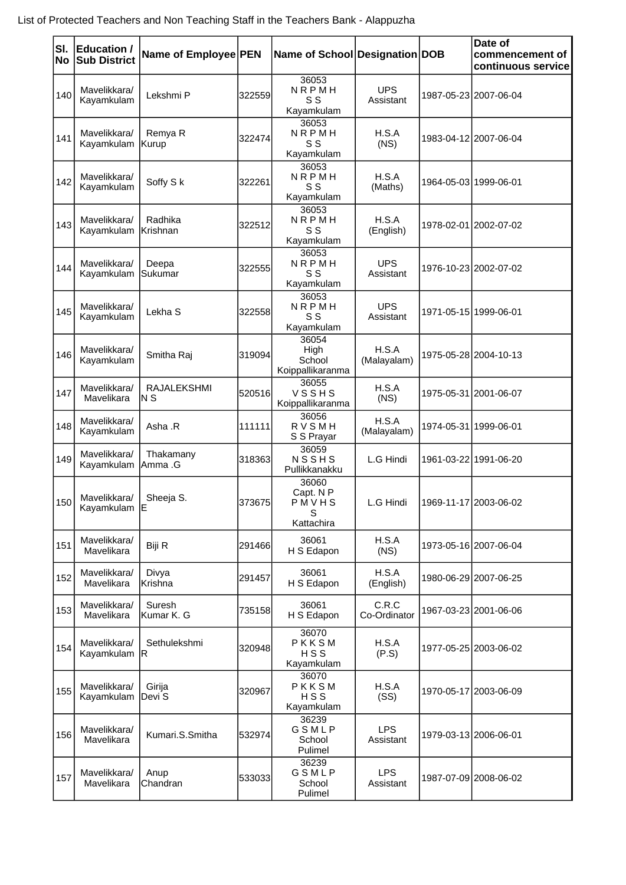| SI.<br>No | Education /<br><b>Sub District</b> | Name of Employee PEN |        | Name of School Designation DOB                 |                         |                       | Date of<br>commencement of<br>continuous service |
|-----------|------------------------------------|----------------------|--------|------------------------------------------------|-------------------------|-----------------------|--------------------------------------------------|
| 140       | Mavelikkara/<br>Kayamkulam         | Lekshmi P            | 322559 | 36053<br>NRPMH<br>S S<br>Kayamkulam            | <b>UPS</b><br>Assistant |                       | 1987-05-23 2007-06-04                            |
| 141       | Mavelikkara/<br>Kayamkulam         | Remya R<br>Kurup     | 322474 | 36053<br>NRPMH<br>S S<br>Kayamkulam            | H.S.A<br>(NS)           |                       | 1983-04-12 2007-06-04                            |
| 142       | Mavelikkara/<br>Kayamkulam         | Soffy S k            | 322261 | 36053<br>NRPMH<br>S S<br>Kayamkulam            | H.S.A<br>(Maths)        | 1964-05-03 1999-06-01 |                                                  |
| 143       | Mavelikkara/<br>Kayamkulam         | Radhika<br>Krishnan  | 322512 | 36053<br>NRPMH<br>S S<br>Kayamkulam            | H.S.A<br>(English)      |                       | 1978-02-01 2002-07-02                            |
| 144       | Mavelikkara/<br>Kayamkulam         | Deepa<br>Sukumar     | 322555 | 36053<br>NRPMH<br>S S<br>Kayamkulam            | <b>UPS</b><br>Assistant |                       | 1976-10-23 2002-07-02                            |
| 145       | Mavelikkara/<br>Kayamkulam         | Lekha <sub>S</sub>   | 322558 | 36053<br>NRPMH<br>S S<br>Kayamkulam            | <b>UPS</b><br>Assistant | 1971-05-15 1999-06-01 |                                                  |
| 146       | Mavelikkara/<br>Kayamkulam         | Smitha Raj           | 319094 | 36054<br>High<br>School<br>Koippallikaranma    | H.S.A<br>(Malayalam)    |                       | 1975-05-28 2004-10-13                            |
| 147       | Mavelikkara/<br>Mavelikara         | RAJALEKSHMI<br>IN S  | 520516 | 36055<br>VSSHS<br>Koippallikaranma             | H.S.A<br>(NS)           |                       | 1975-05-31 2001-06-07                            |
| 148       | Mavelikkara/<br>Kayamkulam         | Asha .R              | 111111 | 36056<br>RVSMH<br>S S Prayar                   | H.S.A<br>(Malayalam)    | 1974-05-31 1999-06-01 |                                                  |
| 149       | Mavelikkara/<br>Kayamkulam         | Thakamany<br>Amma .G | 318363 | 36059<br>NSSHS<br>Pullikkanakku                | L.G Hindi               |                       | 1961-03-22 1991-06-20                            |
|           | 150 Mavelikkara/<br>Kayamkulam E   | Sheeja S.            | 373675 | 36060<br>Capt. N P<br>PMVHS<br>S<br>Kattachira | L.G Hindi               | 1969-11-17 2003-06-02 |                                                  |
| 151       | Mavelikkara/<br>Mavelikara         | Biji R               | 291466 | 36061<br>H S Edapon                            | H.S.A<br>(NS)           |                       | 1973-05-16 2007-06-04                            |
| 152       | Mavelikkara/<br>Mavelikara         | Divya<br>Krishna     | 291457 | 36061<br>H S Edapon                            | H.S.A<br>(English)      |                       | 1980-06-29 2007-06-25                            |
| 153       | Mavelikkara/<br>Mavelikara         | Suresh<br>Kumar K. G | 735158 | 36061<br>H S Edapon                            | C.R.C<br>Co-Ordinator   |                       | 1967-03-23 2001-06-06                            |
| 154       | Mavelikkara/<br>Kayamkulam R       | Sethulekshmi         | 320948 | 36070<br>PKKSM<br>HSS<br>Kayamkulam            | H.S.A<br>(P.S)          |                       | 1977-05-25 2003-06-02                            |
| 155       | Mavelikkara/<br>Kayamkulam         | Girija<br>Devi S     | 320967 | 36070<br>PKKSM<br>HSS<br>Kayamkulam            | H.S.A<br>(SS)           |                       | 1970-05-17 2003-06-09                            |
| 156       | Mavelikkara/<br>Mavelikara         | Kumari.S.Smitha      | 532974 | 36239<br>GSMLP<br>School<br>Pulimel            | <b>LPS</b><br>Assistant |                       | 1979-03-13 2006-06-01                            |
| 157       | Mavelikkara/<br>Mavelikara         | Anup<br>Chandran     | 533033 | 36239<br>GSMLP<br>School<br>Pulimel            | <b>LPS</b><br>Assistant |                       | 1987-07-09 2008-06-02                            |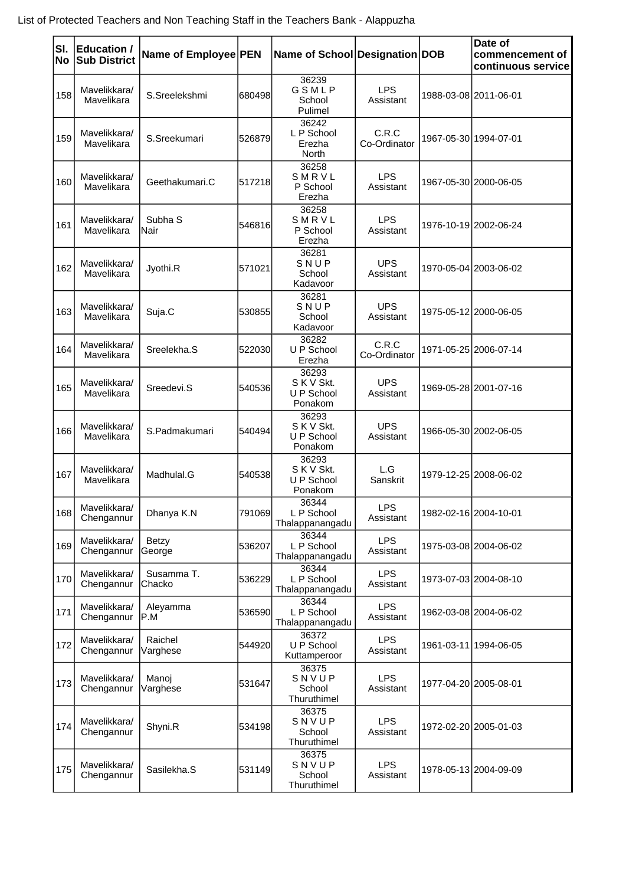| SI.<br>No | Education /<br><b>Sub District</b> | Name of Employee   PEN      |        | Name of School Designation DOB               |                         |            | Date of<br>commencement of<br>continuous service |
|-----------|------------------------------------|-----------------------------|--------|----------------------------------------------|-------------------------|------------|--------------------------------------------------|
| 158       | Mavelikkara/<br>Mavelikara         | S.Sreelekshmi               | 680498 | 36239<br>GSMLP<br>School<br>Pulimel          | <b>LPS</b><br>Assistant |            | 1988-03-08 2011-06-01                            |
| 159       | Mavelikkara/<br>Mavelikara         | S.Sreekumari                | 526879 | 36242<br>L P School<br>Erezha<br>North       | C.R.C<br>Co-Ordinator   |            | 1967-05-30 1994-07-01                            |
| 160       | Mavelikkara/<br>Mavelikara         | Geethakumari.C              | 517218 | 36258<br>SMRVL<br>P School<br>Erezha         | <b>LPS</b><br>Assistant |            | 1967-05-30 2000-06-05                            |
| 161       | Mavelikkara/<br>Mavelikara         | Subha <sub>S</sub><br>lNair | 546816 | 36258<br>SMRVL<br>P School<br>Erezha         | <b>LPS</b><br>Assistant |            | 1976-10-19 2002-06-24                            |
| 162       | Mavelikkara/<br>Mavelikara         | Jyothi.R                    | 571021 | 36281<br>SNUP<br>School<br>Kadavoor          | <b>UPS</b><br>Assistant |            | 1970-05-04 2003-06-02                            |
| 163       | Mavelikkara/<br>Mavelikara         | Suja.C                      | 530855 | 36281<br>SNUP<br>School<br>Kadavoor          | <b>UPS</b><br>Assistant |            | 1975-05-12 2000-06-05                            |
| 164       | Mavelikkara/<br>Mavelikara         | Sreelekha.S                 | 522030 | 36282<br>U P School<br>Erezha                | C.R.C<br>Co-Ordinator   |            | 1971-05-25 2006-07-14                            |
| 165       | Mavelikkara/<br>Mavelikara         | Sreedevi.S                  | 540536 | 36293<br>S K V Skt.<br>U P School<br>Ponakom | <b>UPS</b><br>Assistant |            | 1969-05-28 2001-07-16                            |
| 166       | Mavelikkara/<br>Mavelikara         | S.Padmakumari               | 540494 | 36293<br>S K V Skt.<br>U P School<br>Ponakom | <b>UPS</b><br>Assistant |            | 1966-05-30 2002-06-05                            |
| 167       | Mavelikkara/<br>Mavelikara         | Madhulal.G                  | 540538 | 36293<br>S K V Skt.<br>U P School<br>Ponakom | L.G<br>Sanskrit         |            | 1979-12-25 2008-06-02                            |
| 168       | Mavelikkara/<br>Chengannur         | Dhanya K.N                  | 791069 | 36344<br>L P School<br>Thalappanangadu       | <b>LPS</b><br>Assistant |            | 1982-02-16 2004-10-01                            |
| 169       | Mavelikkara/<br>Chengannur         | <b>Betzy</b><br>George      | 536207 | 36344<br>L P School<br>Thalappanangadu       | <b>LPS</b><br>Assistant |            | 1975-03-08 2004-06-02                            |
| 170       | Mavelikkara/<br>Chengannur         | Susamma T.<br>Chacko        | 536229 | 36344<br>L P School<br>Thalappanangadu       | <b>LPS</b><br>Assistant |            | 1973-07-03 2004-08-10                            |
| 171       | Mavelikkara/<br>Chengannur         | Aleyamma<br>IP.M            | 536590 | 36344<br>L P School<br>Thalappanangadu       | <b>LPS</b><br>Assistant |            | 1962-03-08 2004-06-02                            |
| 172       | Mavelikkara/<br>Chengannur         | Raichel<br>Varghese         | 544920 | 36372<br>U P School<br>Kuttamperoor          | <b>LPS</b><br>Assistant | 1961-03-11 | 1994-06-05                                       |
| 173       | Mavelikkara/<br>Chengannur         | Manoj<br>Varghese           | 531647 | 36375<br>SNVUP<br>School<br>Thuruthimel      | <b>LPS</b><br>Assistant |            | 1977-04-20 2005-08-01                            |
| 174       | Mavelikkara/<br>Chengannur         | Shyni.R                     | 534198 | 36375<br>SNVUP<br>School<br>Thuruthimel      | <b>LPS</b><br>Assistant |            | 1972-02-20 2005-01-03                            |
| 175       | Mavelikkara/<br>Chengannur         | Sasilekha.S                 | 531149 | 36375<br>SNVUP<br>School<br>Thuruthimel      | <b>LPS</b><br>Assistant |            | 1978-05-13 2004-09-09                            |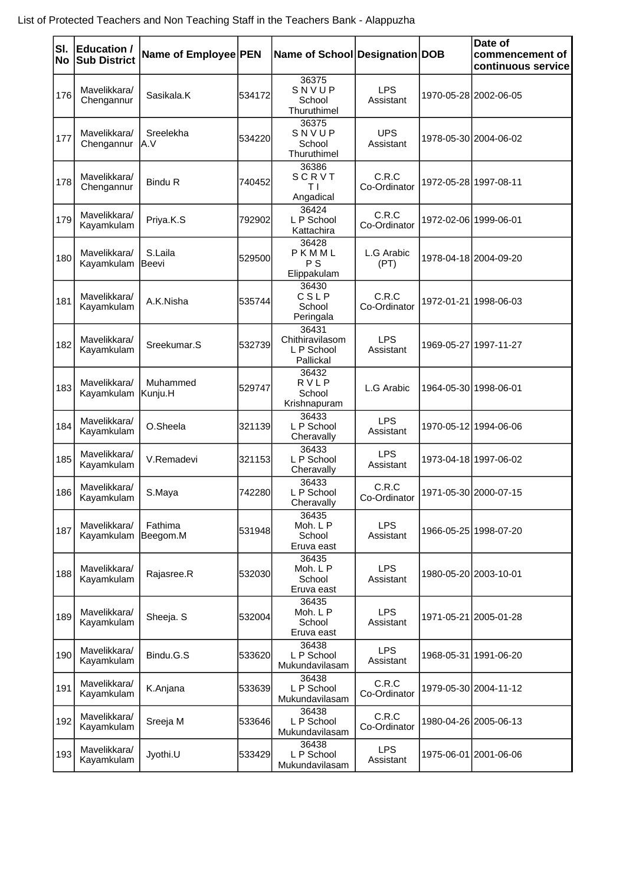| SI.<br>No | Education /<br><b>Sub District</b> | Name of Employee PEN |        | Name of School Designation DOB                      |                         | Date of<br>commencement of<br>continuous service |
|-----------|------------------------------------|----------------------|--------|-----------------------------------------------------|-------------------------|--------------------------------------------------|
| 176       | Mavelikkara/<br>Chengannur         | Sasikala.K           | 534172 | 36375<br>SNVUP<br>School<br>Thuruthimel             | <b>LPS</b><br>Assistant | 1970-05-28 2002-06-05                            |
| 177       | Mavelikkara/<br>Chengannur         | Sreelekha<br>A.V     | 534220 | 36375<br>SNVUP<br>School<br>Thuruthimel             | <b>UPS</b><br>Assistant | 1978-05-30 2004-06-02                            |
| 178       | Mavelikkara/<br>Chengannur         | <b>Bindu R</b>       | 740452 | 36386<br>SCRVT<br>TΙ<br>Angadical                   | C.R.C<br>Co-Ordinator   | 1972-05-28 1997-08-11                            |
| 179       | Mavelikkara/<br>Kayamkulam         | Priya.K.S            | 792902 | 36424<br>L P School<br>Kattachira                   | C.R.C<br>Co-Ordinator   | 1972-02-06 1999-06-01                            |
| 180       | Mavelikkara/<br>Kayamkulam         | S.Laila<br> Beevi    | 529500 | 36428<br>PKMML<br>P S<br>Elippakulam                | L.G Arabic<br>(PT)      | 1978-04-18 2004-09-20                            |
| 181       | Mavelikkara/<br>Kayamkulam         | A.K.Nisha            | 535744 | 36430<br>CSLP<br>School<br>Peringala                | C.R.C<br>Co-Ordinator   | 1972-01-21 1998-06-03                            |
| 182       | Mavelikkara/<br>Kayamkulam         | Sreekumar.S          | 532739 | 36431<br>Chithiravilasom<br>L P School<br>Pallickal | <b>LPS</b><br>Assistant | 1969-05-27 1997-11-27                            |
| 183       | Mavelikkara/<br>Kayamkulam         | Muhammed<br> Kunju.H | 529747 | 36432<br>RVLP<br>School<br>Krishnapuram             | L.G Arabic              | 1964-05-30 1998-06-01                            |
| 184       | Mavelikkara/<br>Kayamkulam         | O.Sheela             | 321139 | 36433<br>L P School<br>Cheravally                   | <b>LPS</b><br>Assistant | 1970-05-12 1994-06-06                            |
| 185       | Mavelikkara/<br>Kayamkulam         | V.Remadevi           | 321153 | 36433<br>L P School<br>Cheravally                   | <b>LPS</b><br>Assistant | 1973-04-18 1997-06-02                            |
| 186       | Mavelikkara/<br>Kayamkulam         | S.Maya               | 742280 | 36433<br>L P School<br>Cheravally                   | C.R.C<br>Co-Ordinator   | 1971-05-30 2000-07-15                            |
| 187       | Mavelikkara/<br>Kayamkulam         | Fathima<br>Beegom.M  | 531948 | 36435<br>Moh. L P<br>School<br>Eruva east           | <b>LPS</b><br>Assistant | 1966-05-25 1998-07-20                            |
| 188       | Mavelikkara/<br>Kayamkulam         | Rajasree.R           | 532030 | 36435<br>Moh. L P<br>School<br>Eruva east           | <b>LPS</b><br>Assistant | 1980-05-20 2003-10-01                            |
| 189       | Mavelikkara/<br>Kayamkulam         | Sheeja. S            | 532004 | 36435<br>Moh. L P<br>School<br>Eruva east           | <b>LPS</b><br>Assistant | 1971-05-21 2005-01-28                            |
| 190       | Mavelikkara/<br>Kayamkulam         | Bindu.G.S            | 533620 | 36438<br>L P School<br>Mukundavilasam               | <b>LPS</b><br>Assistant | 1968-05-31 1991-06-20                            |
| 191       | Mavelikkara/<br>Kayamkulam         | K.Anjana             | 533639 | 36438<br>L P School<br>Mukundavilasam               | C.R.C<br>Co-Ordinator   | 1979-05-30 2004-11-12                            |
| 192       | Mavelikkara/<br>Kayamkulam         | Sreeja M             | 533646 | 36438<br>L P School<br>Mukundavilasam               | C.R.C<br>Co-Ordinator   | 1980-04-26 2005-06-13                            |
| 193       | Mavelikkara/<br>Kayamkulam         | Jyothi.U             | 533429 | 36438<br>L P School<br>Mukundavilasam               | <b>LPS</b><br>Assistant | 1975-06-01 2001-06-06                            |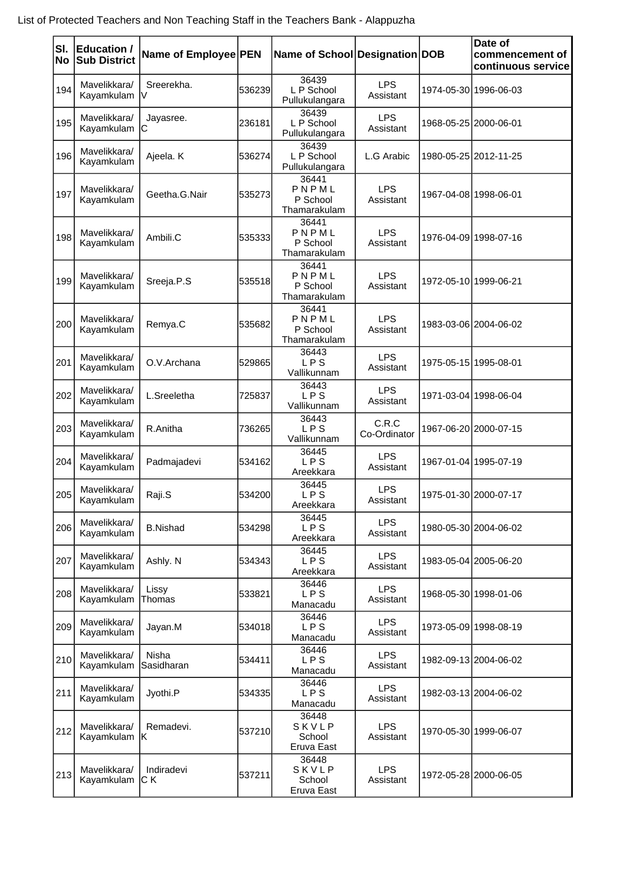| SI.<br><b>No</b> | Education /<br><b>Sub District</b> | Name of Employee PEN |        | Name of School Designation DOB             |                         |                       | Date of<br>commencement of<br>continuous service |
|------------------|------------------------------------|----------------------|--------|--------------------------------------------|-------------------------|-----------------------|--------------------------------------------------|
| 194              | Mavelikkara/<br>Kayamkulam         | Sreerekha.<br>IV.    | 536239 | 36439<br>L P School<br>Pullukulangara      | <b>LPS</b><br>Assistant |                       | 1974-05-30 1996-06-03                            |
| 195              | Mavelikkara/<br>Kayamkulam         | Jayasree.<br>IС      | 236181 | 36439<br>L P School<br>Pullukulangara      | <b>LPS</b><br>Assistant | 1968-05-25 2000-06-01 |                                                  |
| 196              | Mavelikkara/<br>Kayamkulam         | Ajeela. K            | 536274 | 36439<br>L P School<br>Pullukulangara      | L.G Arabic              |                       | 1980-05-25 2012-11-25                            |
| 197              | Mavelikkara/<br>Kayamkulam         | Geetha.G.Nair        | 535273 | 36441<br>PNPML<br>P School<br>Thamarakulam | <b>LPS</b><br>Assistant |                       | 1967-04-08 1998-06-01                            |
| 198              | Mavelikkara/<br>Kayamkulam         | Ambili.C             | 535333 | 36441<br>PNPML<br>P School<br>Thamarakulam | <b>LPS</b><br>Assistant |                       | 1976-04-09 1998-07-16                            |
| 199              | Mavelikkara/<br>Kayamkulam         | Sreeja.P.S           | 535518 | 36441<br>PNPML<br>P School<br>Thamarakulam | <b>LPS</b><br>Assistant | 1972-05-10 1999-06-21 |                                                  |
| 200              | Mavelikkara/<br>Kayamkulam         | Remya.C              | 535682 | 36441<br>PNPML<br>P School<br>Thamarakulam | <b>LPS</b><br>Assistant |                       | 1983-03-06 2004-06-02                            |
| 201              | Mavelikkara/<br>Kayamkulam         | O.V.Archana          | 529865 | 36443<br><b>LPS</b><br>Vallikunnam         | <b>LPS</b><br>Assistant | 1975-05-15 1995-08-01 |                                                  |
| 202              | Mavelikkara/<br>Kayamkulam         | L.Sreeletha          | 725837 | 36443<br><b>LPS</b><br>Vallikunnam         | <b>LPS</b><br>Assistant |                       | 1971-03-04 1998-06-04                            |
| 203              | Mavelikkara/<br>Kayamkulam         | R.Anitha             | 736265 | 36443<br>LPS<br>Vallikunnam                | C.R.C<br>Co-Ordinator   |                       | 1967-06-20 2000-07-15                            |
| 204              | Mavelikkara/<br>Kayamkulam         | Padmajadevi          | 534162 | 36445<br>LPS<br>Areekkara                  | <b>LPS</b><br>Assistant |                       | 1967-01-04 1995-07-19                            |
| 205              | Mavelikkara/<br>Kayamkulam         | Raji.S               | 534200 | 36445<br>LPS<br>Areekkara                  | <b>LPS</b><br>Assistant |                       | 1975-01-30 2000-07-17                            |
| 206              | Mavelikkara/<br>Kayamkulam         | <b>B.Nishad</b>      | 534298 | 36445<br>LPS<br>Areekkara                  | <b>LPS</b><br>Assistant |                       | 1980-05-30 2004-06-02                            |
| 207              | Mavelikkara/<br>Kayamkulam         | Ashly. N             | 534343 | 36445<br>LPS<br>Areekkara                  | <b>LPS</b><br>Assistant |                       | 1983-05-04 2005-06-20                            |
| 208              | Mavelikkara/<br>Kayamkulam         | Lissy<br>Thomas      | 533821 | 36446<br>LPS<br>Manacadu                   | <b>LPS</b><br>Assistant |                       | 1968-05-30 1998-01-06                            |
| 209              | Mavelikkara/<br>Kayamkulam         | Jayan.M              | 534018 | 36446<br>LPS<br>Manacadu                   | <b>LPS</b><br>Assistant |                       | 1973-05-09 1998-08-19                            |
| 210              | Mavelikkara/<br>Kayamkulam         | Nisha<br>Sasidharan  | 534411 | 36446<br>LPS<br>Manacadu                   | <b>LPS</b><br>Assistant |                       | 1982-09-13 2004-06-02                            |
| 211              | Mavelikkara/<br>Kayamkulam         | Jyothi.P             | 534335 | 36446<br>LPS<br>Manacadu                   | <b>LPS</b><br>Assistant |                       | 1982-03-13 2004-06-02                            |
| 212              | Mavelikkara/<br>Kayamkulam   K     | Remadevi.            | 537210 | 36448<br>SKVLP<br>School<br>Eruva East     | <b>LPS</b><br>Assistant |                       | 1970-05-30 1999-06-07                            |
| 213              | Mavelikkara/<br>Kayamkulam         | Indiradevi<br> C K   | 537211 | 36448<br>SKVLP<br>School<br>Eruva East     | <b>LPS</b><br>Assistant |                       | 1972-05-28 2000-06-05                            |